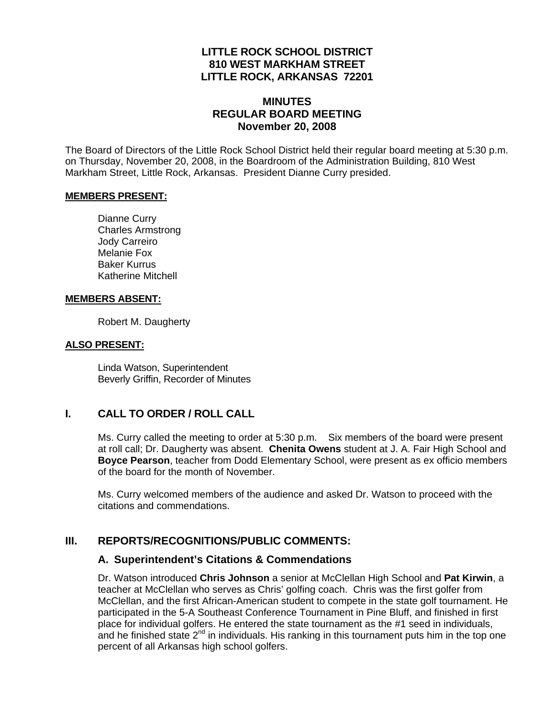### **LITTLE ROCK SCHOOL DISTRICT 810 WEST MARKHAM STREET LITTLE ROCK, ARKANSAS 72201**

## **MINUTES REGULAR BOARD MEETING November 20, 2008**

The Board of Directors of the Little Rock School District held their regular board meeting at 5:30 p.m. on Thursday, November 20, 2008, in the Boardroom of the Administration Building, 810 West Markham Street, Little Rock, Arkansas. President Dianne Curry presided.

#### **MEMBERS PRESENT:**

Dianne Curry Charles Armstrong Jody Carreiro Melanie Fox Baker Kurrus Katherine Mitchell

### **MEMBERS ABSENT:**

Robert M. Daugherty

### **ALSO PRESENT:**

 Linda Watson, Superintendent Beverly Griffin, Recorder of Minutes

## **I. CALL TO ORDER / ROLL CALL**

Ms. Curry called the meeting to order at 5:30 p.m. Six members of the board were present at roll call; Dr. Daugherty was absent. **Chenita Owens** student at J. A. Fair High School and **Boyce Pearson**, teacher from Dodd Elementary School, were present as ex officio members of the board for the month of November.

Ms. Curry welcomed members of the audience and asked Dr. Watson to proceed with the citations and commendations.

### **III. REPORTS/RECOGNITIONS/PUBLIC COMMENTS:**

### **A. Superintendent's Citations & Commendations**

Dr. Watson introduced **Chris Johnson** a senior at McClellan High School and **Pat Kirwin**, a teacher at McClellan who serves as Chris' golfing coach. Chris was the first golfer from McClellan, and the first African-American student to compete in the state golf tournament. He participated in the 5-A Southeast Conference Tournament in Pine Bluff, and finished in first place for individual golfers. He entered the state tournament as the #1 seed in individuals, and he finished state  $2^{nd}$  in individuals. His ranking in this tournament puts him in the top one percent of all Arkansas high school golfers.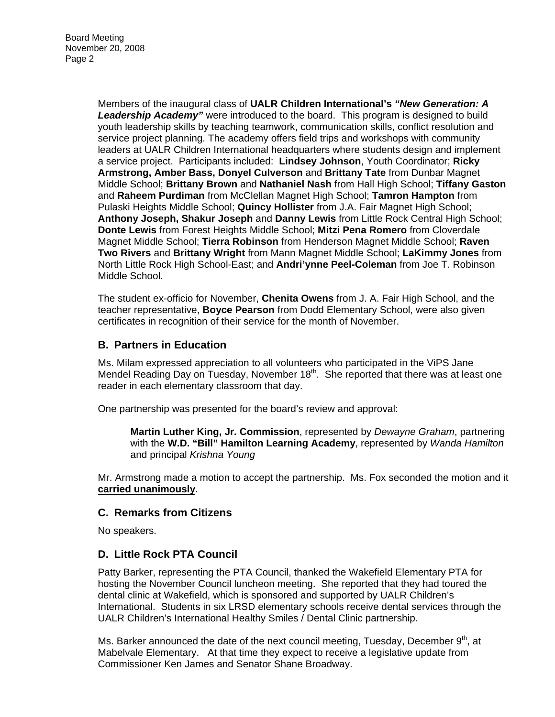Members of the inaugural class of **UALR Children International's** *"New Generation: A Leadership Academy"* were introduced to the board. This program is designed to build youth leadership skills by teaching teamwork, communication skills, conflict resolution and service project planning. The academy offers field trips and workshops with community leaders at UALR Children International headquarters where students design and implement a service project. Participants included: **Lindsey Johnson**, Youth Coordinator; **Ricky Armstrong, Amber Bass, Donyel Culverson** and **Brittany Tate** from Dunbar Magnet Middle School; **Brittany Brown** and **Nathaniel Nash** from Hall High School; **Tiffany Gaston** and **Raheem Purdiman** from McClellan Magnet High School; **Tamron Hampton** from Pulaski Heights Middle School; **Quincy Hollister** from J.A. Fair Magnet High School; **Anthony Joseph, Shakur Joseph** and **Danny Lewis** from Little Rock Central High School; **Donte Lewis** from Forest Heights Middle School; **Mitzi Pena Romero** from Cloverdale Magnet Middle School; **Tierra Robinson** from Henderson Magnet Middle School; **Raven Two Rivers** and **Brittany Wright** from Mann Magnet Middle School; **LaKimmy Jones** from North Little Rock High School-East; and **Andri'ynne Peel-Coleman** from Joe T. Robinson Middle School.

The student ex-officio for November, **Chenita Owens** from J. A. Fair High School, and the teacher representative, **Boyce Pearson** from Dodd Elementary School, were also given certificates in recognition of their service for the month of November.

## **B. Partners in Education**

Ms. Milam expressed appreciation to all volunteers who participated in the ViPS Jane Mendel Reading Day on Tuesday, November  $18<sup>th</sup>$ . She reported that there was at least one reader in each elementary classroom that day.

One partnership was presented for the board's review and approval:

**Martin Luther King, Jr. Commission**, represented by *Dewayne Graham*, partnering with the **W.D. "Bill" Hamilton Learning Academy**, represented by *Wanda Hamilton* and principal *Krishna Young* 

Mr. Armstrong made a motion to accept the partnership. Ms. Fox seconded the motion and it **carried unanimously**.

### **C. Remarks from Citizens**

No speakers.

## **D. Little Rock PTA Council**

Patty Barker, representing the PTA Council, thanked the Wakefield Elementary PTA for hosting the November Council luncheon meeting. She reported that they had toured the dental clinic at Wakefield, which is sponsored and supported by UALR Children's International. Students in six LRSD elementary schools receive dental services through the UALR Children's International Healthy Smiles / Dental Clinic partnership.

Ms. Barker announced the date of the next council meeting, Tuesday, December  $9<sup>th</sup>$ , at Mabelvale Elementary. At that time they expect to receive a legislative update from Commissioner Ken James and Senator Shane Broadway.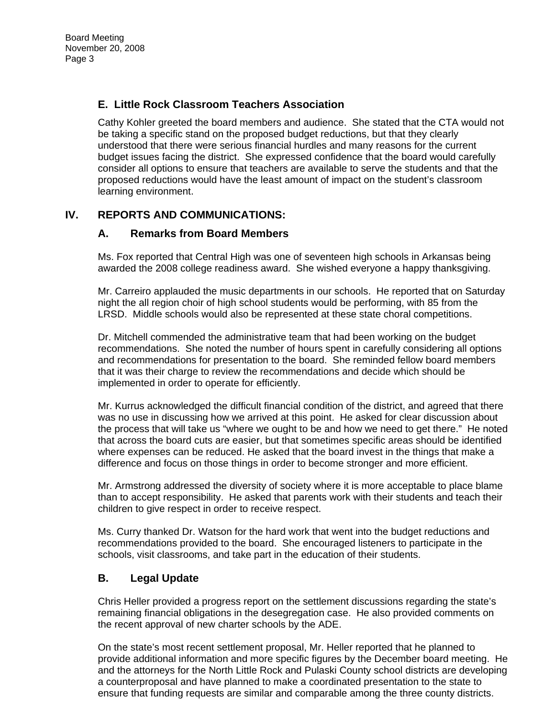# **E. Little Rock Classroom Teachers Association**

Cathy Kohler greeted the board members and audience. She stated that the CTA would not be taking a specific stand on the proposed budget reductions, but that they clearly understood that there were serious financial hurdles and many reasons for the current budget issues facing the district. She expressed confidence that the board would carefully consider all options to ensure that teachers are available to serve the students and that the proposed reductions would have the least amount of impact on the student's classroom learning environment.

## **IV. REPORTS AND COMMUNICATIONS:**

## **A. Remarks from Board Members**

Ms. Fox reported that Central High was one of seventeen high schools in Arkansas being awarded the 2008 college readiness award. She wished everyone a happy thanksgiving.

Mr. Carreiro applauded the music departments in our schools. He reported that on Saturday night the all region choir of high school students would be performing, with 85 from the LRSD. Middle schools would also be represented at these state choral competitions.

Dr. Mitchell commended the administrative team that had been working on the budget recommendations. She noted the number of hours spent in carefully considering all options and recommendations for presentation to the board. She reminded fellow board members that it was their charge to review the recommendations and decide which should be implemented in order to operate for efficiently.

Mr. Kurrus acknowledged the difficult financial condition of the district, and agreed that there was no use in discussing how we arrived at this point. He asked for clear discussion about the process that will take us "where we ought to be and how we need to get there." He noted that across the board cuts are easier, but that sometimes specific areas should be identified where expenses can be reduced. He asked that the board invest in the things that make a difference and focus on those things in order to become stronger and more efficient.

Mr. Armstrong addressed the diversity of society where it is more acceptable to place blame than to accept responsibility. He asked that parents work with their students and teach their children to give respect in order to receive respect.

Ms. Curry thanked Dr. Watson for the hard work that went into the budget reductions and recommendations provided to the board. She encouraged listeners to participate in the schools, visit classrooms, and take part in the education of their students.

## **B. Legal Update**

Chris Heller provided a progress report on the settlement discussions regarding the state's remaining financial obligations in the desegregation case. He also provided comments on the recent approval of new charter schools by the ADE.

On the state's most recent settlement proposal, Mr. Heller reported that he planned to provide additional information and more specific figures by the December board meeting. He and the attorneys for the North Little Rock and Pulaski County school districts are developing a counterproposal and have planned to make a coordinated presentation to the state to ensure that funding requests are similar and comparable among the three county districts.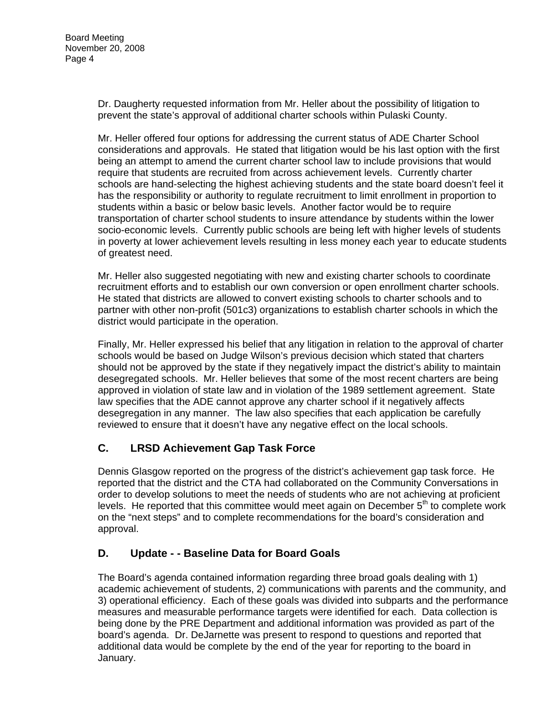Dr. Daugherty requested information from Mr. Heller about the possibility of litigation to prevent the state's approval of additional charter schools within Pulaski County.

Mr. Heller offered four options for addressing the current status of ADE Charter School considerations and approvals. He stated that litigation would be his last option with the first being an attempt to amend the current charter school law to include provisions that would require that students are recruited from across achievement levels. Currently charter schools are hand-selecting the highest achieving students and the state board doesn't feel it has the responsibility or authority to regulate recruitment to limit enrollment in proportion to students within a basic or below basic levels. Another factor would be to require transportation of charter school students to insure attendance by students within the lower socio-economic levels. Currently public schools are being left with higher levels of students in poverty at lower achievement levels resulting in less money each year to educate students of greatest need.

Mr. Heller also suggested negotiating with new and existing charter schools to coordinate recruitment efforts and to establish our own conversion or open enrollment charter schools. He stated that districts are allowed to convert existing schools to charter schools and to partner with other non-profit (501c3) organizations to establish charter schools in which the district would participate in the operation.

Finally, Mr. Heller expressed his belief that any litigation in relation to the approval of charter schools would be based on Judge Wilson's previous decision which stated that charters should not be approved by the state if they negatively impact the district's ability to maintain desegregated schools. Mr. Heller believes that some of the most recent charters are being approved in violation of state law and in violation of the 1989 settlement agreement. State law specifies that the ADE cannot approve any charter school if it negatively affects desegregation in any manner. The law also specifies that each application be carefully reviewed to ensure that it doesn't have any negative effect on the local schools.

# **C. LRSD Achievement Gap Task Force**

Dennis Glasgow reported on the progress of the district's achievement gap task force. He reported that the district and the CTA had collaborated on the Community Conversations in order to develop solutions to meet the needs of students who are not achieving at proficient levels. He reported that this committee would meet again on December  $5<sup>th</sup>$  to complete work on the "next steps" and to complete recommendations for the board's consideration and approval.

# **D. Update - - Baseline Data for Board Goals**

The Board's agenda contained information regarding three broad goals dealing with 1) academic achievement of students, 2) communications with parents and the community, and 3) operational efficiency. Each of these goals was divided into subparts and the performance measures and measurable performance targets were identified for each. Data collection is being done by the PRE Department and additional information was provided as part of the board's agenda. Dr. DeJarnette was present to respond to questions and reported that additional data would be complete by the end of the year for reporting to the board in January.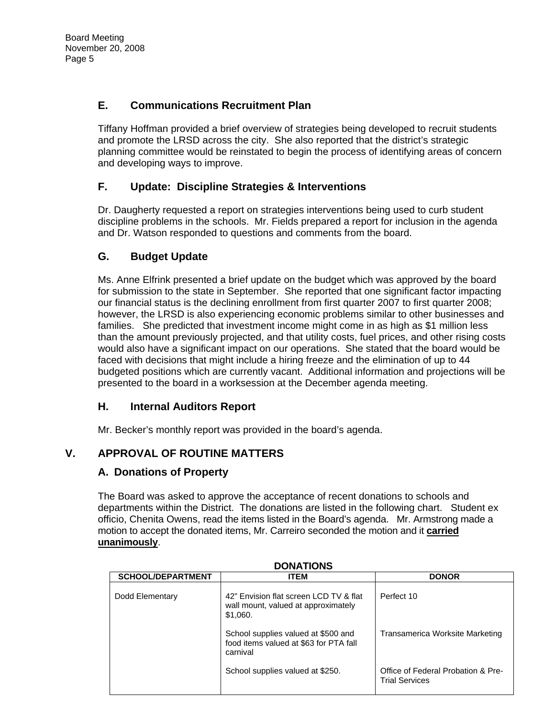# **E. Communications Recruitment Plan**

Tiffany Hoffman provided a brief overview of strategies being developed to recruit students and promote the LRSD across the city. She also reported that the district's strategic planning committee would be reinstated to begin the process of identifying areas of concern and developing ways to improve.

# **F. Update: Discipline Strategies & Interventions**

Dr. Daugherty requested a report on strategies interventions being used to curb student discipline problems in the schools. Mr. Fields prepared a report for inclusion in the agenda and Dr. Watson responded to questions and comments from the board.

# **G. Budget Update**

Ms. Anne Elfrink presented a brief update on the budget which was approved by the board for submission to the state in September. She reported that one significant factor impacting our financial status is the declining enrollment from first quarter 2007 to first quarter 2008; however, the LRSD is also experiencing economic problems similar to other businesses and families. She predicted that investment income might come in as high as \$1 million less than the amount previously projected, and that utility costs, fuel prices, and other rising costs would also have a significant impact on our operations. She stated that the board would be faced with decisions that might include a hiring freeze and the elimination of up to 44 budgeted positions which are currently vacant. Additional information and projections will be presented to the board in a worksession at the December agenda meeting.

# **H. Internal Auditors Report**

Mr. Becker's monthly report was provided in the board's agenda.

# **V. APPROVAL OF ROUTINE MATTERS**

## **A. Donations of Property**

The Board was asked to approve the acceptance of recent donations to schools and departments within the District. The donations are listed in the following chart. Student ex officio, Chenita Owens, read the items listed in the Board's agenda. Mr. Armstrong made a motion to accept the donated items, Mr. Carreiro seconded the motion and it **carried unanimously**.

| <b>SCHOOL/DEPARTMENT</b> | <b>ITEM</b>                                                                               | <b>DONOR</b>                                                |
|--------------------------|-------------------------------------------------------------------------------------------|-------------------------------------------------------------|
| Dodd Elementary          | 42" Envision flat screen LCD TV & flat<br>wall mount, valued at approximately<br>\$1,060. | Perfect 10                                                  |
|                          | School supplies valued at \$500 and<br>food items valued at \$63 for PTA fall<br>carnival | Transamerica Worksite Marketing                             |
|                          | School supplies valued at \$250.                                                          | Office of Federal Probation & Pre-<br><b>Trial Services</b> |

**DONATIONS**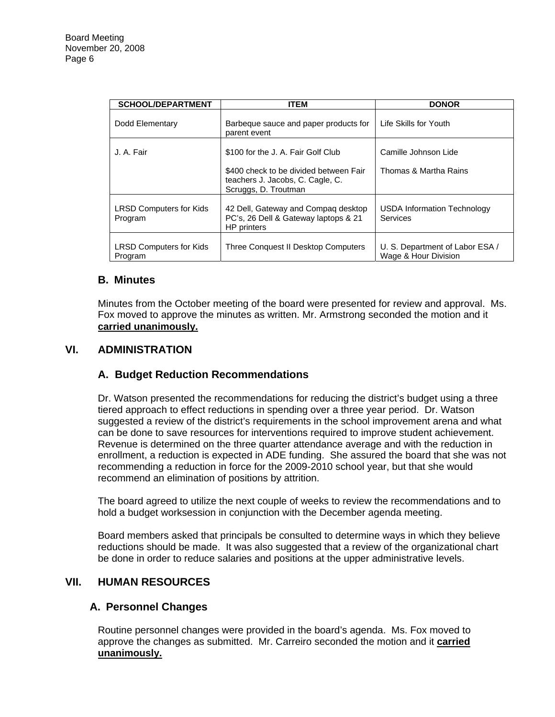| <b>SCHOOL/DEPARTMENT</b>                  | <b>ITEM</b>                                                                                        | <b>DONOR</b>                                            |
|-------------------------------------------|----------------------------------------------------------------------------------------------------|---------------------------------------------------------|
| Dodd Elementary                           | Barbeque sauce and paper products for<br>parent event                                              | Life Skills for Youth                                   |
| J. A. Fair                                | \$100 for the J. A. Fair Golf Club                                                                 | Camille Johnson Lide                                    |
|                                           | \$400 check to be divided between Fair<br>teachers J. Jacobs, C. Cagle, C.<br>Scruggs, D. Troutman | Thomas & Martha Rains                                   |
| <b>LRSD Computers for Kids</b><br>Program | 42 Dell, Gateway and Compag desktop<br>PC's, 26 Dell & Gateway laptops & 21<br>HP printers         | USDA Information Technology<br>Services                 |
| <b>LRSD Computers for Kids</b><br>Program | Three Conquest II Desktop Computers                                                                | U. S. Department of Labor ESA /<br>Wage & Hour Division |

## **B. Minutes**

Minutes from the October meeting of the board were presented for review and approval. Ms. Fox moved to approve the minutes as written. Mr. Armstrong seconded the motion and it **carried unanimously.**

### **VI. ADMINISTRATION**

## **A. Budget Reduction Recommendations**

Dr. Watson presented the recommendations for reducing the district's budget using a three tiered approach to effect reductions in spending over a three year period. Dr. Watson suggested a review of the district's requirements in the school improvement arena and what can be done to save resources for interventions required to improve student achievement. Revenue is determined on the three quarter attendance average and with the reduction in enrollment, a reduction is expected in ADE funding. She assured the board that she was not recommending a reduction in force for the 2009-2010 school year, but that she would recommend an elimination of positions by attrition.

The board agreed to utilize the next couple of weeks to review the recommendations and to hold a budget worksession in conjunction with the December agenda meeting.

Board members asked that principals be consulted to determine ways in which they believe reductions should be made. It was also suggested that a review of the organizational chart be done in order to reduce salaries and positions at the upper administrative levels.

### **VII. HUMAN RESOURCES**

## **A. Personnel Changes**

Routine personnel changes were provided in the board's agenda. Ms. Fox moved to approve the changes as submitted. Mr. Carreiro seconded the motion and it **carried unanimously.**